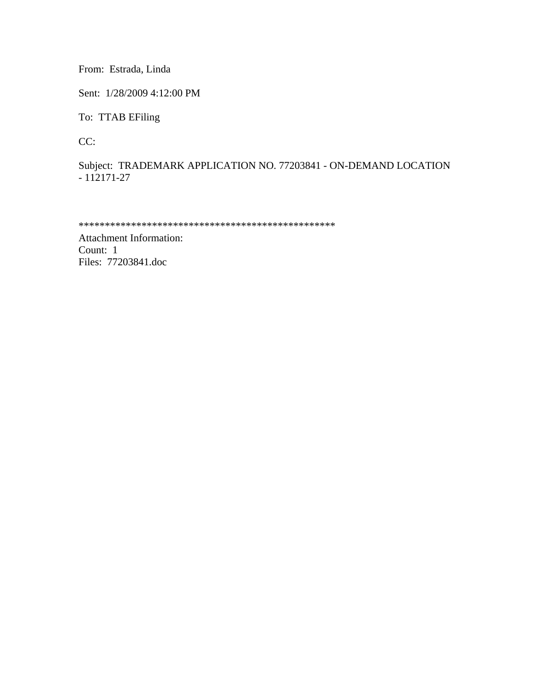From: Estrada, Linda

Sent: 1/28/2009 4:12:00 PM

To: TTAB EFiling

CC:

Subject: TRADEMARK APPLICATION NO. 77203841 - ON-DEMAND LOCATION - 112171-27

```
*************************************************
```
Attachment Information: Count: 1 Files: 77203841.doc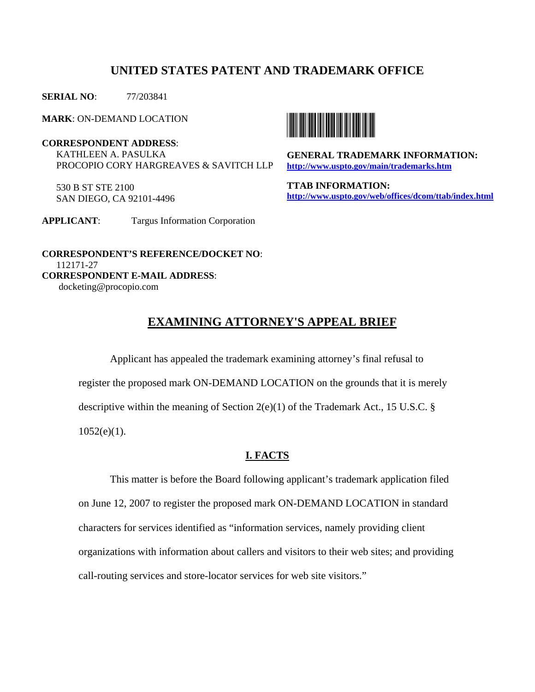## **UNITED STATES PATENT AND TRADEMARK OFFICE**

**SERIAL NO**: 77/203841

**MARK**: ON-DEMAND LOCATION

**CORRESPONDENT ADDRESS**: KATHLEEN A. PASULKA PROCOPIO CORY HARGREAVES & SAVITCH LLP

 530 B ST STE 2100 SAN DIEGO, CA 92101-4496





**GENERAL TRADEMARK INFORMATION: http://www.uspto.gov/main/trademarks.htm**

**TTAB INFORMATION: http://www.uspto.gov/web/offices/dcom/ttab/index.html** 

 **CORRESPONDENT'S REFERENCE/DOCKET NO**: 112171-27 **CORRESPONDENT E-MAIL ADDRESS**: docketing@procopio.com

# **EXAMINING ATTORNEY'S APPEAL BRIEF**

 Applicant has appealed the trademark examining attorney's final refusal to register the proposed mark ON-DEMAND LOCATION on the grounds that it is merely descriptive within the meaning of Section 2(e)(1) of the Trademark Act., 15 U.S.C. § 1052(e)(1).

### **I. FACTS**

 This matter is before the Board following applicant's trademark application filed on June 12, 2007 to register the proposed mark ON-DEMAND LOCATION in standard characters for services identified as "information services, namely providing client organizations with information about callers and visitors to their web sites; and providing call-routing services and store-locator services for web site visitors."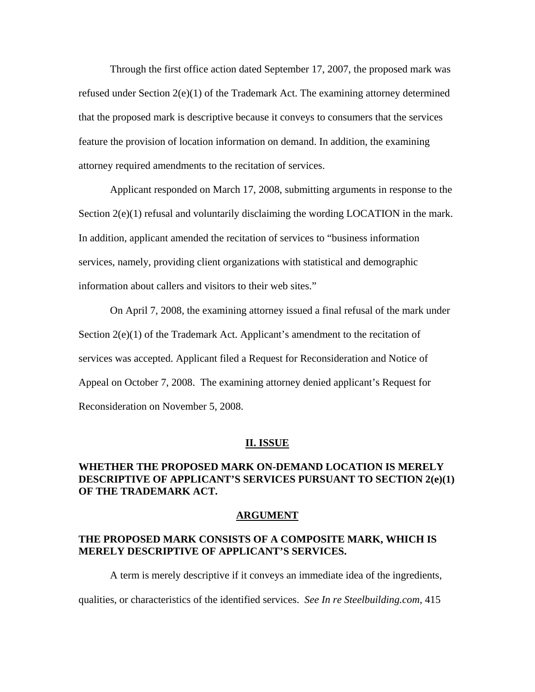Through the first office action dated September 17, 2007, the proposed mark was refused under Section  $2(e)(1)$  of the Trademark Act. The examining attorney determined that the proposed mark is descriptive because it conveys to consumers that the services feature the provision of location information on demand. In addition, the examining attorney required amendments to the recitation of services.

 Applicant responded on March 17, 2008, submitting arguments in response to the Section  $2(e)(1)$  refusal and voluntarily disclaiming the wording LOCATION in the mark. In addition, applicant amended the recitation of services to "business information services, namely, providing client organizations with statistical and demographic information about callers and visitors to their web sites."

 On April 7, 2008, the examining attorney issued a final refusal of the mark under Section  $2(e)(1)$  of the Trademark Act. Applicant's amendment to the recitation of services was accepted. Applicant filed a Request for Reconsideration and Notice of Appeal on October 7, 2008. The examining attorney denied applicant's Request for Reconsideration on November 5, 2008.

#### **II. ISSUE**

## **WHETHER THE PROPOSED MARK ON-DEMAND LOCATION IS MERELY DESCRIPTIVE OF APPLICANT'S SERVICES PURSUANT TO SECTION 2(e)(1) OF THE TRADEMARK ACT.**

#### **ARGUMENT**

### **THE PROPOSED MARK CONSISTS OF A COMPOSITE MARK, WHICH IS MERELY DESCRIPTIVE OF APPLICANT'S SERVICES.**

 A term is merely descriptive if it conveys an immediate idea of the ingredients, qualities, or characteristics of the identified services. *See In re Steelbuilding.com*, 415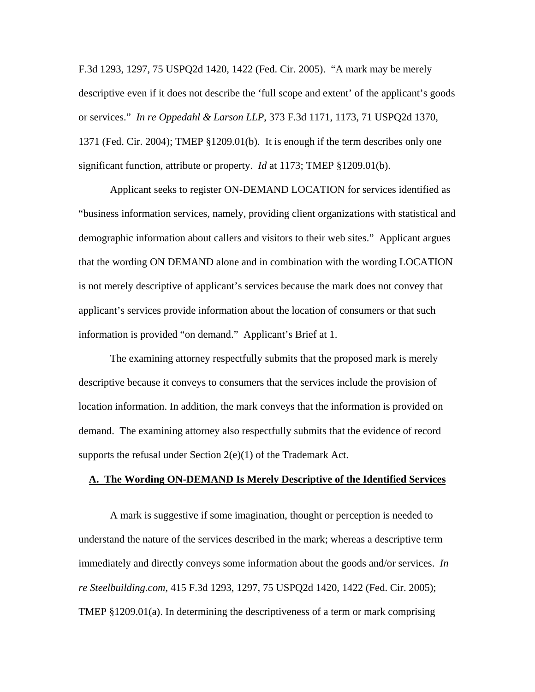F.3d 1293, 1297, 75 USPQ2d 1420, 1422 (Fed. Cir. 2005). "A mark may be merely descriptive even if it does not describe the 'full scope and extent' of the applicant's goods or services." *In re Oppedahl & Larson LLP*, 373 F.3d 1171, 1173, 71 USPQ2d 1370, 1371 (Fed. Cir. 2004); TMEP §1209.01(b). It is enough if the term describes only one significant function, attribute or property. *Id* at 1173; TMEP §1209.01(b).

 Applicant seeks to register ON-DEMAND LOCATION for services identified as "business information services, namely, providing client organizations with statistical and demographic information about callers and visitors to their web sites." Applicant argues that the wording ON DEMAND alone and in combination with the wording LOCATION is not merely descriptive of applicant's services because the mark does not convey that applicant's services provide information about the location of consumers or that such information is provided "on demand." Applicant's Brief at 1.

 The examining attorney respectfully submits that the proposed mark is merely descriptive because it conveys to consumers that the services include the provision of location information. In addition, the mark conveys that the information is provided on demand. The examining attorney also respectfully submits that the evidence of record supports the refusal under Section  $2(e)(1)$  of the Trademark Act.

### **A. The Wording ON-DEMAND Is Merely Descriptive of the Identified Services**

 A mark is suggestive if some imagination, thought or perception is needed to understand the nature of the services described in the mark; whereas a descriptive term immediately and directly conveys some information about the goods and/or services. *In re Steelbuilding.com*, 415 F.3d 1293, 1297, 75 USPQ2d 1420, 1422 (Fed. Cir. 2005); TMEP §1209.01(a). In determining the descriptiveness of a term or mark comprising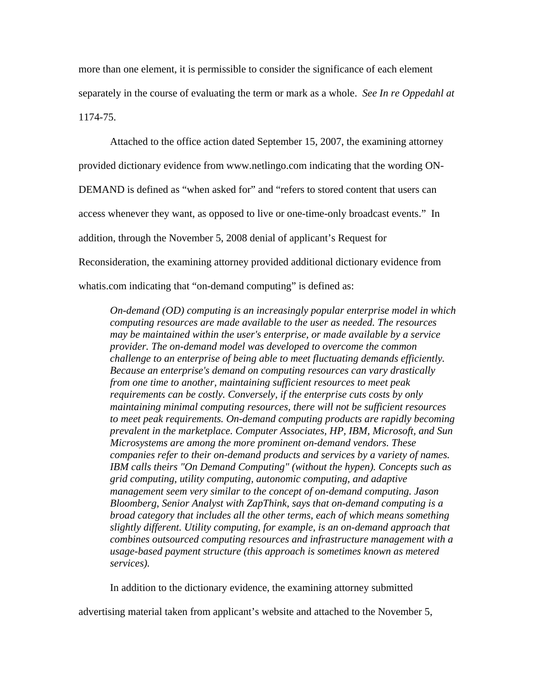more than one element, it is permissible to consider the significance of each element separately in the course of evaluating the term or mark as a whole. *See In re Oppedahl at*  1174-75.

 Attached to the office action dated September 15, 2007, the examining attorney provided dictionary evidence from www.netlingo.com indicating that the wording ON-DEMAND is defined as "when asked for" and "refers to stored content that users can access whenever they want, as opposed to live or one-time-only broadcast events." In addition, through the November 5, 2008 denial of applicant's Request for Reconsideration, the examining attorney provided additional dictionary evidence from whatis.com indicating that "on-demand computing" is defined as:

*On-demand (OD) computing is an increasingly popular enterprise model in which computing resources are made available to the user as needed. The resources may be maintained within the user's enterprise, or made available by a service provider. The on-demand model was developed to overcome the common challenge to an enterprise of being able to meet fluctuating demands efficiently. Because an enterprise's demand on computing resources can vary drastically from one time to another, maintaining sufficient resources to meet peak requirements can be costly. Conversely, if the enterprise cuts costs by only maintaining minimal computing resources, there will not be sufficient resources to meet peak requirements. On-demand computing products are rapidly becoming prevalent in the marketplace. Computer Associates, HP, IBM, Microsoft, and Sun Microsystems are among the more prominent on-demand vendors. These companies refer to their on-demand products and services by a variety of names. IBM calls theirs "On Demand Computing" (without the hypen). Concepts such as grid computing, utility computing, autonomic computing, and adaptive management seem very similar to the concept of on-demand computing. Jason Bloomberg, Senior Analyst with ZapThink, says that on-demand computing is a broad category that includes all the other terms, each of which means something slightly different. Utility computing, for example, is an on-demand approach that combines outsourced computing resources and infrastructure management with a usage-based payment structure (this approach is sometimes known as metered services).* 

In addition to the dictionary evidence, the examining attorney submitted

advertising material taken from applicant's website and attached to the November 5,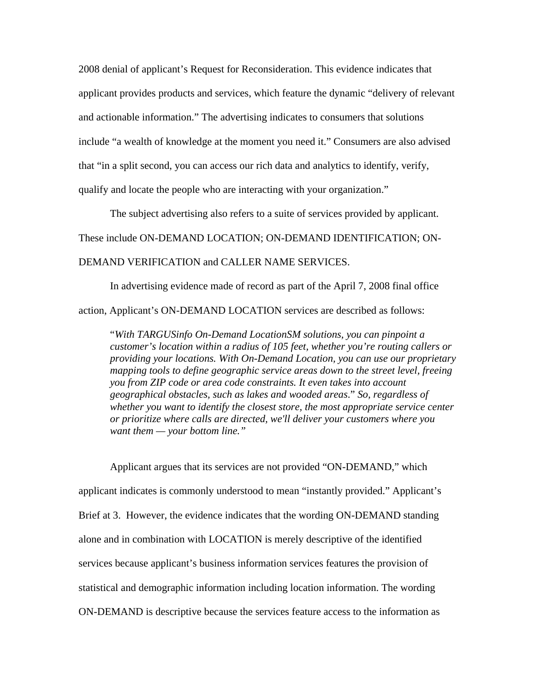2008 denial of applicant's Request for Reconsideration. This evidence indicates that applicant provides products and services, which feature the dynamic "delivery of relevant and actionable information." The advertising indicates to consumers that solutions include "a wealth of knowledge at the moment you need it." Consumers are also advised that "in a split second, you can access our rich data and analytics to identify, verify, qualify and locate the people who are interacting with your organization."

 The subject advertising also refers to a suite of services provided by applicant. These include ON-DEMAND LOCATION; ON-DEMAND IDENTIFICATION; ON-DEMAND VERIFICATION and CALLER NAME SERVICES.

 In advertising evidence made of record as part of the April 7, 2008 final office action, Applicant's ON-DEMAND LOCATION services are described as follows:

"*With TARGUSinfo On-Demand LocationSM solutions, you can pinpoint a customer's location within a radius of 105 feet, whether you're routing callers or providing your locations. With On-Demand Location, you can use our proprietary mapping tools to define geographic service areas down to the street level, freeing you from ZIP code or area code constraints. It even takes into account geographical obstacles, such as lakes and wooded areas*." *So, regardless of whether you want to identify the closest store, the most appropriate service center or prioritize where calls are directed, we'll deliver your customers where you want them — your bottom line."*

 Applicant argues that its services are not provided "ON-DEMAND," which applicant indicates is commonly understood to mean "instantly provided." Applicant's Brief at 3. However, the evidence indicates that the wording ON-DEMAND standing alone and in combination with LOCATION is merely descriptive of the identified services because applicant's business information services features the provision of statistical and demographic information including location information. The wording ON-DEMAND is descriptive because the services feature access to the information as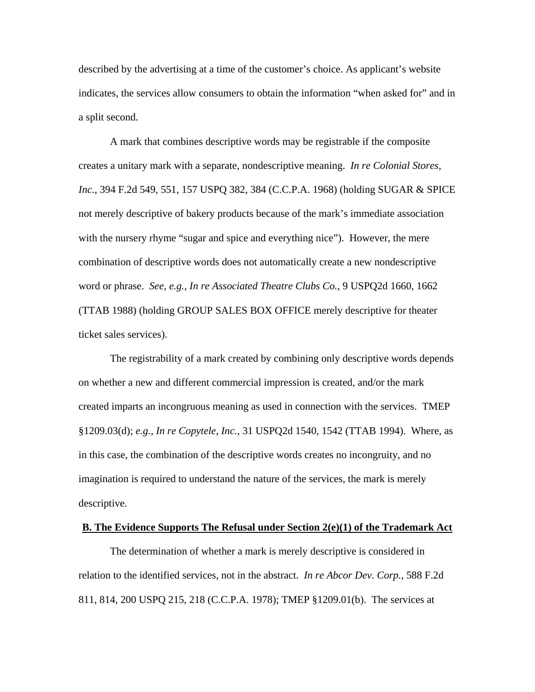described by the advertising at a time of the customer's choice. As applicant's website indicates, the services allow consumers to obtain the information "when asked for" and in a split second.

 A mark that combines descriptive words may be registrable if the composite creates a unitary mark with a separate, nondescriptive meaning. *In re Colonial Stores, Inc.*, 394 F.2d 549, 551, 157 USPQ 382, 384 (C.C.P.A. 1968) (holding SUGAR & SPICE not merely descriptive of bakery products because of the mark's immediate association with the nursery rhyme "sugar and spice and everything nice"). However, the mere combination of descriptive words does not automatically create a new nondescriptive word or phrase. *See, e.g., In re Associated Theatre Clubs Co.*, 9 USPQ2d 1660, 1662 (TTAB 1988) (holding GROUP SALES BOX OFFICE merely descriptive for theater ticket sales services).

 The registrability of a mark created by combining only descriptive words depends on whether a new and different commercial impression is created, and/or the mark created imparts an incongruous meaning as used in connection with the services. TMEP §1209.03(d); *e.g., In re Copytele, Inc.*, 31 USPQ2d 1540, 1542 (TTAB 1994). Where, as in this case, the combination of the descriptive words creates no incongruity, and no imagination is required to understand the nature of the services, the mark is merely descriptive.

#### **B. The Evidence Supports The Refusal under Section 2(e)(1) of the Trademark Act**

 The determination of whether a mark is merely descriptive is considered in relation to the identified services, not in the abstract. *In re Abcor Dev. Corp.*, 588 F.2d 811, 814, 200 USPQ 215, 218 (C.C.P.A. 1978); TMEP §1209.01(b). The services at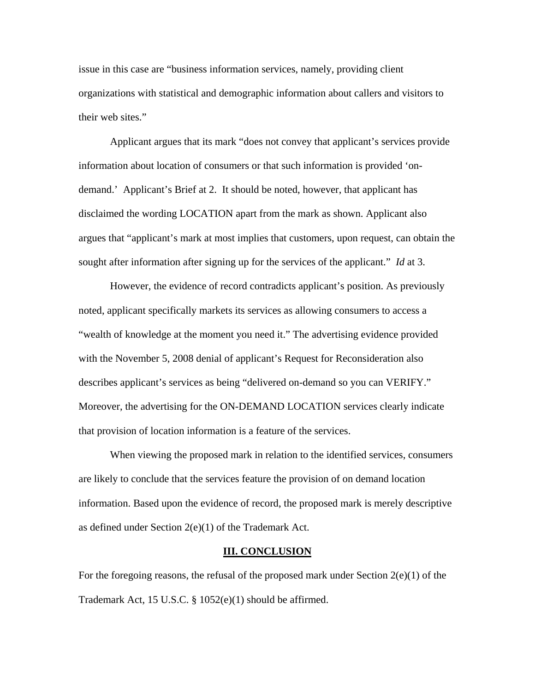issue in this case are "business information services, namely, providing client organizations with statistical and demographic information about callers and visitors to their web sites."

 Applicant argues that its mark "does not convey that applicant's services provide information about location of consumers or that such information is provided 'ondemand.' Applicant's Brief at 2. It should be noted, however, that applicant has disclaimed the wording LOCATION apart from the mark as shown. Applicant also argues that "applicant's mark at most implies that customers, upon request, can obtain the sought after information after signing up for the services of the applicant." *Id* at 3.

 However, the evidence of record contradicts applicant's position. As previously noted, applicant specifically markets its services as allowing consumers to access a "wealth of knowledge at the moment you need it." The advertising evidence provided with the November 5, 2008 denial of applicant's Request for Reconsideration also describes applicant's services as being "delivered on-demand so you can VERIFY." Moreover, the advertising for the ON-DEMAND LOCATION services clearly indicate that provision of location information is a feature of the services.

 When viewing the proposed mark in relation to the identified services, consumers are likely to conclude that the services feature the provision of on demand location information. Based upon the evidence of record, the proposed mark is merely descriptive as defined under Section 2(e)(1) of the Trademark Act.

#### **III. CONCLUSION**

For the foregoing reasons, the refusal of the proposed mark under Section  $2(e)(1)$  of the Trademark Act, 15 U.S.C. § 1052(e)(1) should be affirmed.